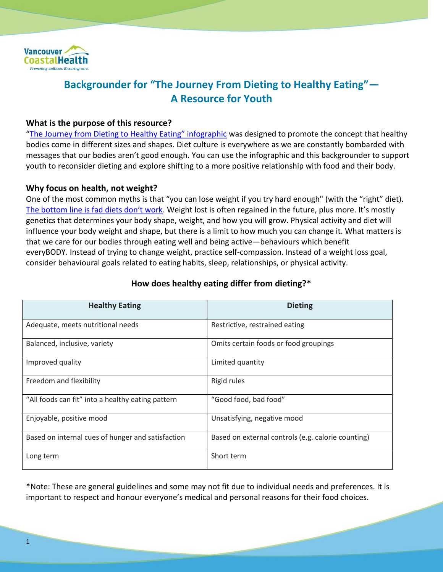

# **Backgrounder for "The Journey From Dieting to Healthy Eating"— A Resource for Youth**

### **What is the purpose of this resource?**

["The Journey from Dieting to Healthy Eating" infographic](https://vch.eduhealth.ca/PDFs/BB/BB.200.W54.pdf) was designed to promote the concept that healthy bodies come in different sizes and shapes. Diet culture is everywhere as we are constantly bombarded with messages that our bodies aren't good enough. You can use the infographic and this backgrounder to support youth to reconsider dieting and explore shifting to a more positive relationship with food and their body.

#### **Why focus on health, not weight?**

One of the most common myths is that "you can lose weight if you try hard enough" (with the "right" diet). [The bottom line is fad diets don't work.](http://www.vch.ca/about-us/news/lets-talk-about-weight) Weight lost is often regained in the future, plus more. It's mostly genetics that determines your body shape, weight, and how you will grow. Physical activity and diet will influence your body weight and shape, but there is a limit to how much you can change it. What matters is that we care for our bodies through eating well and being active—behaviours which benefit everyBODY. Instead of trying to change weight, practice self-compassion. Instead of a weight loss goal, consider behavioural goals related to eating habits, sleep, relationships, or physical activity.

| <b>Healthy Eating</b>                             | <b>Dieting</b>                                     |
|---------------------------------------------------|----------------------------------------------------|
| Adequate, meets nutritional needs                 | Restrictive, restrained eating                     |
| Balanced, inclusive, variety                      | Omits certain foods or food groupings              |
| Improved quality                                  | Limited quantity                                   |
| Freedom and flexibility                           | Rigid rules                                        |
| "All foods can fit" into a healthy eating pattern | "Good food, bad food"                              |
| Enjoyable, positive mood                          | Unsatisfying, negative mood                        |
| Based on internal cues of hunger and satisfaction | Based on external controls (e.g. calorie counting) |
| Long term                                         | Short term                                         |

#### **How does healthy eating differ from dieting?\***

\*Note: These are general guidelines and some may not fit due to individual needs and preferences. It is important to respect and honour everyone's medical and personal reasons for their food choices.